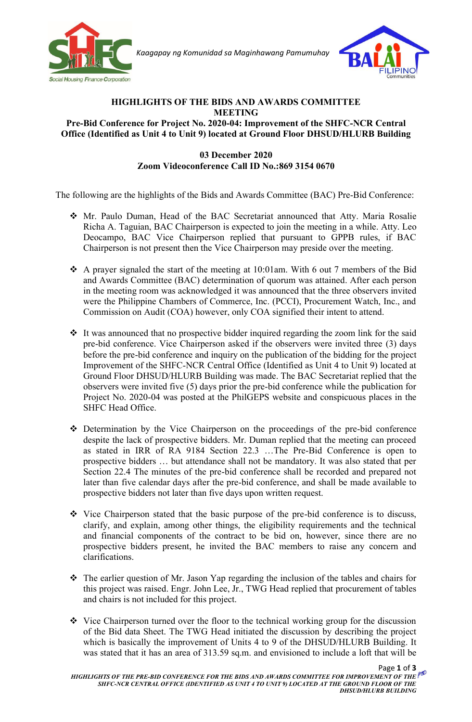

*Kaagapay ng Komunidad sa Maginhawang Pamumuhay*



## **HIGHLIGHTS OF THE BIDS AND AWARDS COMMITTEE MEETING Pre-Bid Conference for Project No. 2020-04: Improvement of the SHFC-NCR Central Office (Identified as Unit 4 to Unit 9) located at Ground Floor DHSUD/HLURB Building**

## **03 December 2020 Zoom Videoconference Call ID No.:869 3154 0670**

The following are the highlights of the Bids and Awards Committee (BAC) Pre-Bid Conference:

- ❖ Mr. Paulo Duman, Head of the BAC Secretariat announced that Atty. Maria Rosalie Richa A. Taguian, BAC Chairperson is expected to join the meeting in a while. Atty. Leo Deocampo, BAC Vice Chairperson replied that pursuant to GPPB rules, if BAC Chairperson is not present then the Vice Chairperson may preside over the meeting.
- ❖ A prayer signaled the start of the meeting at 10:01am. With 6 out 7 members of the Bid and Awards Committee (BAC) determination of quorum was attained. After each person in the meeting room was acknowledged it was announced that the three observers invited were the Philippine Chambers of Commerce, Inc. (PCCI), Procurement Watch, Inc., and Commission on Audit (COA) however, only COA signified their intent to attend.
- ❖ It was announced that no prospective bidder inquired regarding the zoom link for the said pre-bid conference. Vice Chairperson asked if the observers were invited three (3) days before the pre-bid conference and inquiry on the publication of the bidding for the project Improvement of the SHFC-NCR Central Office (Identified as Unit 4 to Unit 9) located at Ground Floor DHSUD/HLURB Building was made. The BAC Secretariat replied that the observers were invited five (5) days prior the pre-bid conference while the publication for Project No. 2020-04 was posted at the PhilGEPS website and conspicuous places in the SHFC Head Office.
- ❖ Determination by the Vice Chairperson on the proceedings of the pre-bid conference despite the lack of prospective bidders. Mr. Duman replied that the meeting can proceed as stated in IRR of RA 9184 Section 22.3 …The Pre-Bid Conference is open to prospective bidders … but attendance shall not be mandatory. It was also stated that per Section 22.4 The minutes of the pre-bid conference shall be recorded and prepared not later than five calendar days after the pre-bid conference, and shall be made available to prospective bidders not later than five days upon written request.
- ❖ Vice Chairperson stated that the basic purpose of the pre-bid conference is to discuss, clarify, and explain, among other things, the eligibility requirements and the technical and financial components of the contract to be bid on, however, since there are no prospective bidders present, he invited the BAC members to raise any concern and clarifications.
- ❖ The earlier question of Mr. Jason Yap regarding the inclusion of the tables and chairs for this project was raised. Engr. John Lee, Jr., TWG Head replied that procurement of tables and chairs is not included for this project.
- ❖ Vice Chairperson turned over the floor to the technical working group for the discussion of the Bid data Sheet. The TWG Head initiated the discussion by describing the project which is basically the improvement of Units 4 to 9 of the DHSUD/HLURB Building. It was stated that it has an area of 313.59 sq.m. and envisioned to include a loft that will be

Page **1** of **3**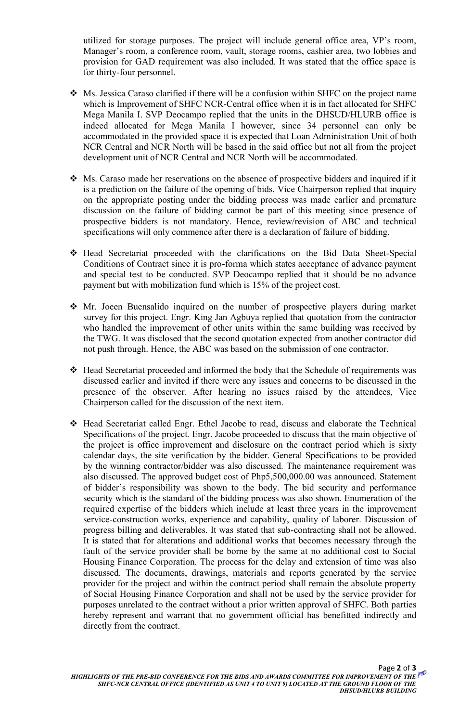utilized for storage purposes. The project will include general office area, VP's room, Manager's room, a conference room, vault, storage rooms, cashier area, two lobbies and provision for GAD requirement was also included. It was stated that the office space is for thirty-four personnel.

- ❖ Ms. Jessica Caraso clarified if there will be a confusion within SHFC on the project name which is Improvement of SHFC NCR-Central office when it is in fact allocated for SHFC Mega Manila I. SVP Deocampo replied that the units in the DHSUD/HLURB office is indeed allocated for Mega Manila I however, since 34 personnel can only be accommodated in the provided space it is expected that Loan Administration Unit of both NCR Central and NCR North will be based in the said office but not all from the project development unit of NCR Central and NCR North will be accommodated.
- ❖ Ms. Caraso made her reservations on the absence of prospective bidders and inquired if it is a prediction on the failure of the opening of bids. Vice Chairperson replied that inquiry on the appropriate posting under the bidding process was made earlier and premature discussion on the failure of bidding cannot be part of this meeting since presence of prospective bidders is not mandatory. Hence, review/revision of ABC and technical specifications will only commence after there is a declaration of failure of bidding.
- ❖ Head Secretariat proceeded with the clarifications on the Bid Data Sheet-Special Conditions of Contract since it is pro-forma which states acceptance of advance payment and special test to be conducted. SVP Deocampo replied that it should be no advance payment but with mobilization fund which is 15% of the project cost.
- ❖ Mr. Joeen Buensalido inquired on the number of prospective players during market survey for this project. Engr. King Jan Agbuya replied that quotation from the contractor who handled the improvement of other units within the same building was received by the TWG. It was disclosed that the second quotation expected from another contractor did not push through. Hence, the ABC was based on the submission of one contractor.
- ❖ Head Secretariat proceeded and informed the body that the Schedule of requirements was discussed earlier and invited if there were any issues and concerns to be discussed in the presence of the observer. After hearing no issues raised by the attendees, Vice Chairperson called for the discussion of the next item.
- ❖ Head Secretariat called Engr. Ethel Jacobe to read, discuss and elaborate the Technical Specifications of the project. Engr. Jacobe proceeded to discuss that the main objective of the project is office improvement and disclosure on the contract period which is sixty calendar days, the site verification by the bidder. General Specifications to be provided by the winning contractor/bidder was also discussed. The maintenance requirement was also discussed. The approved budget cost of Php5,500,000.00 was announced. Statement of bidder's responsibility was shown to the body. The bid security and performance security which is the standard of the bidding process was also shown. Enumeration of the required expertise of the bidders which include at least three years in the improvement service-construction works, experience and capability, quality of laborer. Discussion of progress billing and deliverables. It was stated that sub-contracting shall not be allowed. It is stated that for alterations and additional works that becomes necessary through the fault of the service provider shall be borne by the same at no additional cost to Social Housing Finance Corporation. The process for the delay and extension of time was also discussed. The documents, drawings, materials and reports generated by the service provider for the project and within the contract period shall remain the absolute property of Social Housing Finance Corporation and shall not be used by the service provider for purposes unrelated to the contract without a prior written approval of SHFC. Both parties hereby represent and warrant that no government official has benefitted indirectly and directly from the contract.